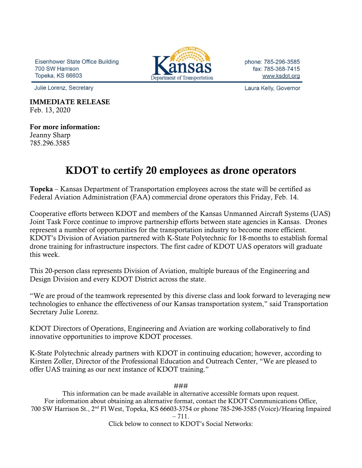Eisenhower State Office Building 700 SW Harrison **Topeka, KS 66603** 



phone: 785-296-3585 fax: 785-368-7415 www.ksdot.org

Laura Kelly, Governor

Julie Lorenz, Secretary

IMMEDIATE RELEASE Feb. 13, 2020

For more information: Jeanny Sharp 785.296.3585

## KDOT to certify 20 employees as drone operators

Topeka – Kansas Department of Transportation employees across the state will be certified as Federal Aviation Administration (FAA) commercial drone operators this Friday, Feb. 14.

Cooperative efforts between KDOT and members of the Kansas Unmanned Aircraft Systems (UAS) Joint Task Force continue to improve partnership efforts between state agencies in Kansas. Drones represent a number of opportunities for the transportation industry to become more efficient. KDOT's Division of Aviation partnered with K-State Polytechnic for 18-months to establish formal drone training for infrastructure inspectors. The first cadre of KDOT UAS operators will graduate this week.

This 20-person class represents Division of Aviation, multiple bureaus of the Engineering and Design Division and every KDOT District across the state.

"We are proud of the teamwork represented by this diverse class and look forward to leveraging new technologies to enhance the effectiveness of our Kansas transportation system," said Transportation Secretary Julie Lorenz.

KDOT Directors of Operations, Engineering and Aviation are working collaboratively to find innovative opportunities to improve KDOT processes.

K-State Polytechnic already partners with KDOT in continuing education; however, according to Kirsten Zoller, Director of the Professional Education and Outreach Center, "We are pleased to offer UAS training as our next instance of KDOT training."

###

This information can be made available in alternative accessible formats upon request. For information about obtaining an alternative format, contact the KDOT Communications Office, 700 SW Harrison St., 2nd Fl West, Topeka, KS 66603-3754 or phone 785-296-3585 (Voice)/Hearing Impaired

– 711.

Click below to connect to KDOT's Social Networks: